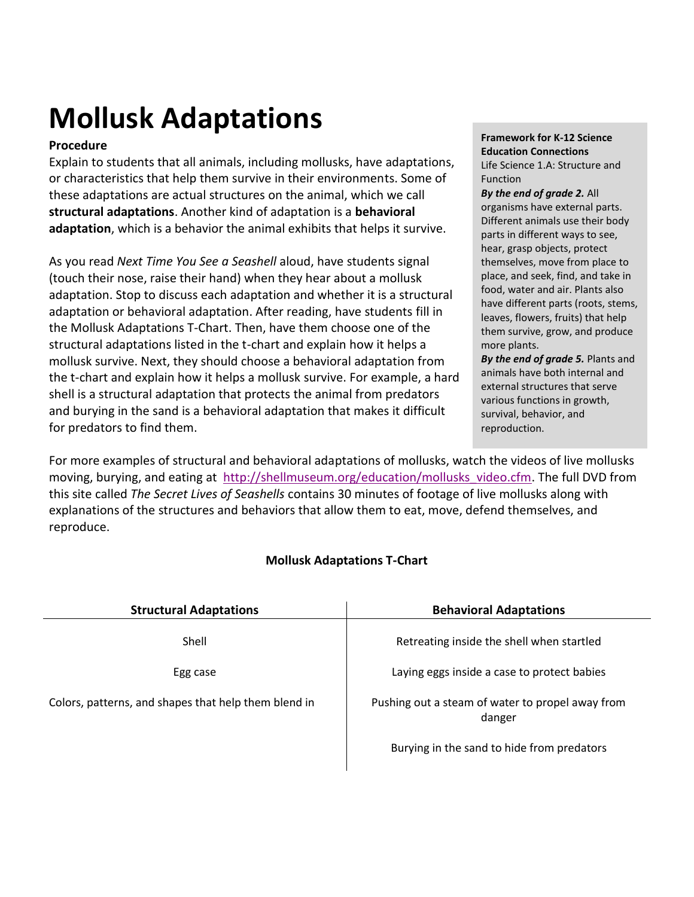# **Mollusk Adaptations**

## **Procedure**

Explain to students that all animals, including mollusks, have adaptations, or characteristics that help them survive in their environments. Some of these adaptations are actual structures on the animal, which we call **structural adaptations**. Another kind of adaptation is a **behavioral adaptation**, which is a behavior the animal exhibits that helps it survive.

As you read *Next Time You See a Seashell* aloud, have students signal (touch their nose, raise their hand) when they hear about a mollusk adaptation. Stop to discuss each adaptation and whether it is a structural adaptation or behavioral adaptation. After reading, have students fill in the Mollusk Adaptations T-Chart. Then, have them choose one of the structural adaptations listed in the t-chart and explain how it helps a mollusk survive. Next, they should choose a behavioral adaptation from the t-chart and explain how it helps a mollusk survive. For example, a hard shell is a structural adaptation that protects the animal from predators and burying in the sand is a behavioral adaptation that makes it difficult for predators to find them.

**Framework for K-12 Science Education Connections** Life Science 1.A: Structure and Function

#### *By the end of grade 2.* All organisms have external parts. Different animals use their body parts in different ways to see, hear, grasp objects, protect themselves, move from place to place, and seek, find, and take in food, water and air. Plants also have different parts (roots, stems, leaves, flowers, fruits) that help them survive, grow, and produce

more plants. *By the end of grade 5.* Plants and animals have both internal and external structures that serve various functions in growth, survival, behavior, and reproduction.

For more examples of structural and behavioral adaptations of mollusks, watch the videos of live mollusks moving, burying, and eating at [http://shellmuseum.org/education/mollusks\\_video.cfm.](http://shellmuseum.org/education/mollusks_video.cfm) The full DVD from this site called *The Secret Lives of Seashells* contains 30 minutes of footage of live mollusks along with explanations of the structures and behaviors that allow them to eat, move, defend themselves, and reproduce.

### **Mollusk Adaptations T-Chart**

| <b>Structural Adaptations</b>                        | <b>Behavioral Adaptations</b>                              |
|------------------------------------------------------|------------------------------------------------------------|
| Shell                                                | Retreating inside the shell when startled                  |
| Egg case                                             | Laying eggs inside a case to protect babies                |
| Colors, patterns, and shapes that help them blend in | Pushing out a steam of water to propel away from<br>danger |
|                                                      | Burying in the sand to hide from predators                 |